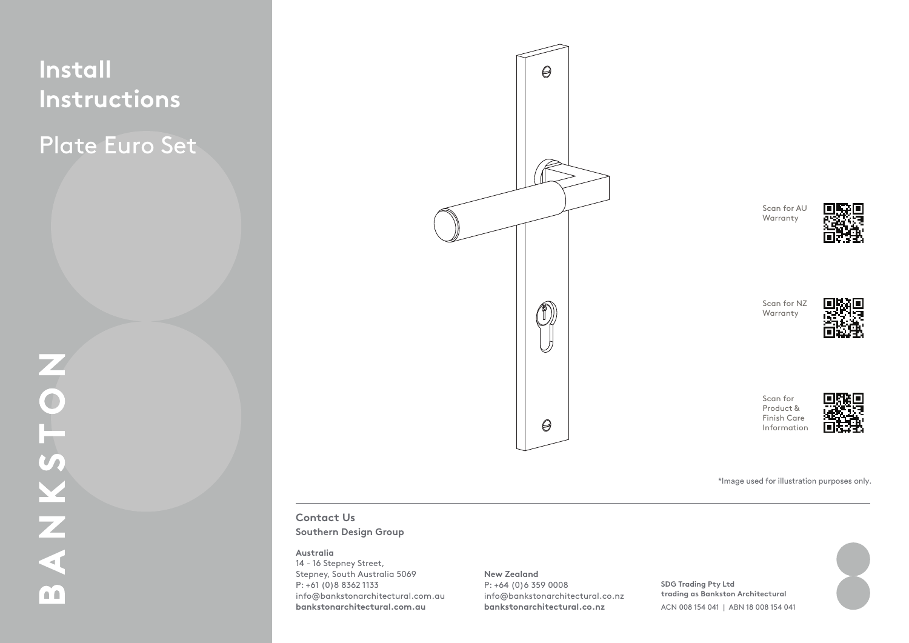# **Install Instructions**

Plate Euro Set



Scan for AU Warranty



Scan for NZ Warranty



Scan for Product & Finish Care Information



\*Image used for illustration purposes only.

### **Contact Us Southern Design Group**

### **Australia**

14 - 16 Stepney Street, Stepney, South Australia 5069 P: +61 (0)8 8362 1133 info@bankstonarchitectural.com.au **bankstonarchitectural.com.au**

### **New Zealand**

P: +64 (0)6 359 0008 info@bankstonarchitectural.co.nz **bankstonarchitectural.co.nz**

**SDG Trading Pty Ltd trading as Bankston Architectural** ACN 008 154 041 | ABN 18 008 154 041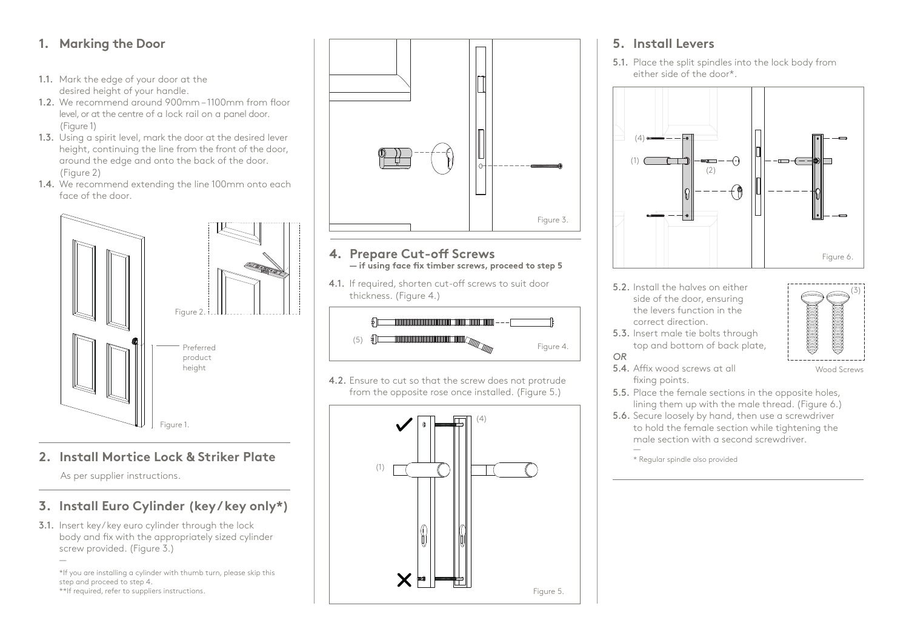## **1. Marking the Door**

- **1.1.** Mark the edge of your door at the desired height of your handle.
	- 1.2. We recommend around 900mm 1100mm from 1.2. We recommend around 900mm 1100mm from floor level, or at the centre of a lock rail on a panel door. (Figure 1)
	- 1.3. Using a spirit level, mark the door at the desired 1.3. Using a spirit level, mark the door at the desired lever lever here here the line from the front of the line.<br>International from the front of the front of the front of the front of the front of the front of the front of height, continuing the line from the front of the door, around the edge and onto the back of the door.  $\colon 2)$ (Figure 2)
	- 1.4. We recommend extending the line 100mm onto each face of the door.



#### to hold the female section while tightening the **2. Install Mortice Lock & Striker Plate**

As per supplier instructions.

# **3. Install Euro Cylinder (key / key only\*)**

3.1. Insert key/key euro cylinder through the lock body and fix with the appropriately sized cylinder screw provided. (Figure 3.) —

\*If you are installing a cylinder with thumb turn, please skip this step and proceed to step 4.

\*\*If required, refer to suppliers instructions.



### **4. Prepare Cut-off Screws — if using face fix timber screws, proceed to step 5**

4.1. If required, shorten cut-off screws to suit door thickness. (Figure 4.)



4.2. Ensure to cut so that the screw does not protrude from the opposite rose once installed. (Figure 5.)



### **5. Install Levers**

5.1. Place the split spindles into the lock body from either side of the door\*.



- 5.2. Install the halves on either side of the door, ensuring the levers function in the correct direction.
- 5.3. Insert male tie bolts through top and bottom of back plate, *OR*



Wood Screws

5.4. Affix wood screws at all fixing points.

5.5. Place the female sections in the opposite holes, lining them up with the male thread. (Figure 6.)

5.6. Secure loosely by hand, then use a screwdriver to hold the female section while tightening the male section with a second screwdriver. —

<sup>\*</sup> Regular spindle also provided